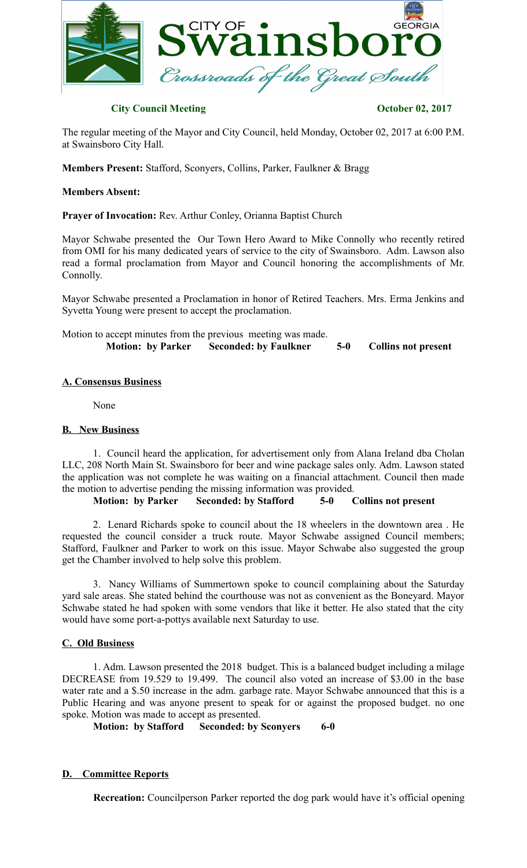

# **City Council Meeting Constraints October 02, 2017**

The regular meeting of the Mayor and City Council, held Monday, October 02, 2017 at 6:00 P.M. at Swainsboro City Hall.

**Members Present:** Stafford, Sconyers, Collins, Parker, Faulkner & Bragg

## **Members Absent:**

**Prayer of Invocation:** Rev. Arthur Conley, Orianna Baptist Church

Mayor Schwabe presented the Our Town Hero Award to Mike Connolly who recently retired from OMI for his many dedicated years of service to the city of Swainsboro. Adm. Lawson also read a formal proclamation from Mayor and Council honoring the accomplishments of Mr. Connolly.

Mayor Schwabe presented a Proclamation in honor of Retired Teachers. Mrs. Erma Jenkins and Syvetta Young were present to accept the proclamation.

| Motion to accept minutes from the previous meeting was made. |                                                |       |                            |
|--------------------------------------------------------------|------------------------------------------------|-------|----------------------------|
|                                                              | <b>Motion: by Parker Seconded: by Faulkner</b> | $5-0$ | <b>Collins not present</b> |

### **A. Consensus Business**

None

### **B. New Business**

1. Council heard the application, for advertisement only from Alana Ireland dba Cholan LLC, 208 North Main St. Swainsboro for beer and wine package sales only. Adm. Lawson stated the application was not complete he was waiting on a financial attachment. Council then made the motion to advertise pending the missing information was provided.

**Motion: by Parker Seconded: by Stafford 5-0 Collins not present**

2. Lenard Richards spoke to council about the 18 wheelers in the downtown area . He requested the council consider a truck route. Mayor Schwabe assigned Council members; Stafford, Faulkner and Parker to work on this issue. Mayor Schwabe also suggested the group get the Chamber involved to help solve this problem.

3. Nancy Williams of Summertown spoke to council complaining about the Saturday yard sale areas. She stated behind the courthouse was not as convenient as the Boneyard. Mayor Schwabe stated he had spoken with some vendors that like it better. He also stated that the city would have some port-a-pottys available next Saturday to use.

### **C. Old Business**

1. Adm. Lawson presented the 2018 budget. This is a balanced budget including a milage DECREASE from 19.529 to 19.499. The council also voted an increase of \$3.00 in the base water rate and a \$.50 increase in the adm. garbage rate. Mayor Schwabe announced that this is a Public Hearing and was anyone present to speak for or against the proposed budget. no one spoke. Motion was made to accept as presented.

**Motion: by Stafford Seconded: by Sconyers 6-0**

### **D. Committee Reports**

**Recreation:** Councilperson Parker reported the dog park would have it's official opening